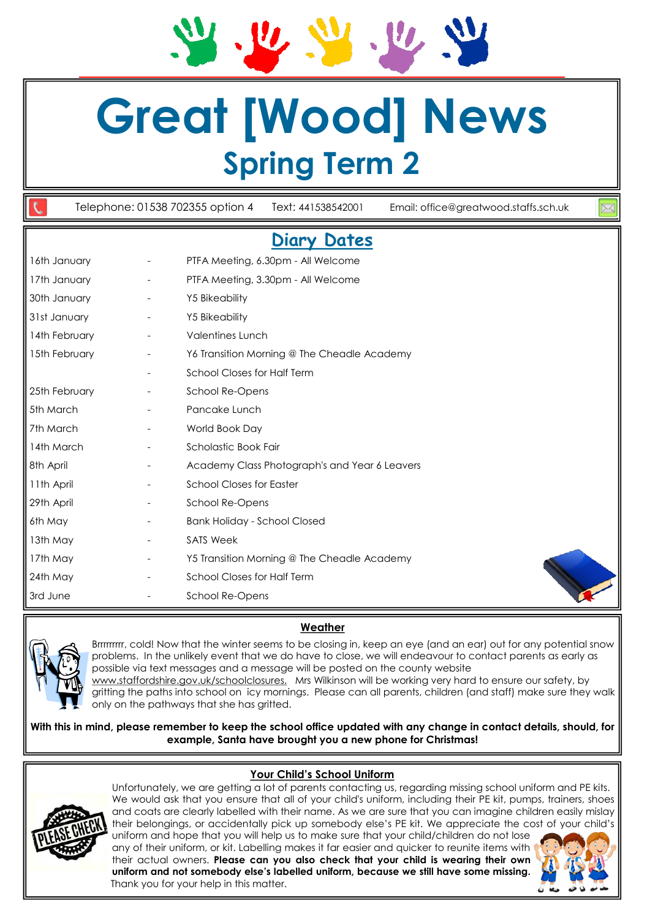# **Great [Wood] News Spring Term 2**

Telephone: 01538 702355 option 4 Text: 441538542001 Email: office@greatwood.staffs.sch.uk **Diary Dates**  16th January - PTFA Meeting, 6.30pm - All Welcome 17th January **- PTFA Meeting, 3.30pm - All Welcome** 30th January **- The Y5 Bikeability** 31st January - Y5 Bikeability 14th February **Face Accord Figure 14th February** 15th February **-** Y6 Transition Morning @ The Cheadle Academy School Closes for Half Term 25th February **-** School Re-Opens 5th March The Contract Contract Pancake Lunch 7th March - World Book Day 14th March **Carlos** - Scholastic Book Fair 8th April **Academy Class Photograph's and Year 6 Leavers** 11th April **11th April 11th April** 29th April 29th April 29th April 29th April 29th April 29th April 2012 6th May - Bank Holiday - School Closed 13th May **-** SATS Week 17th May **- Y5 Transition Morning @ The Cheadle Academy** 24th May - School Closes for Half Term 3rd June - School Re-Opens





Brrrrrrrrr, cold! Now that the winter seems to be closing in, keep an eye (and an ear) out for any potential snow problems. In the unlikely event that we do have to close, we will endeavour to contact parents as early as possible via text messages and a message will be posted on the county website www.staffordshire.gov.uk/schoolclosures. Mrs Wilkinson will be working very hard to ensure our safety, by

gritting the paths into school on icy mornings. Please can all parents, children (and staff) make sure they walk only on the pathways that she has gritted.

**With this in mind, please remember to keep the school office updated with any change in contact details, should, for example, Santa have brought you a new phone for Christmas!** 

# **Your Child's School Uniform**



Unfortunately, we are getting a lot of parents contacting us, regarding missing school uniform and PE kits. We would ask that you ensure that all of your child's uniform, including their PE kit, pumps, trainers, shoes and coats are clearly labelled with their name. As we are sure that you can imagine children easily mislay their belongings, or accidentally pick up somebody else's PE kit. We appreciate the cost of your child's uniform and hope that you will help us to make sure that your child/children do not lose

any of their uniform, or kit. Labelling makes it far easier and quicker to reunite items with their actual owners. **Please can you also check that your child is wearing their own uniform and not somebody else's labelled uniform, because we still have some missing.**  Thank you for your help in this matter.